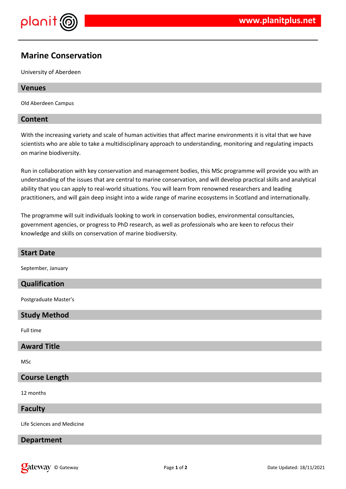

# **Marine Conservation**

University of Aberdeen

## **Venues**

Old Aberdeen Campus

## **Content**

With the increasing variety and scale of human activities that affect marine environments it is vital that we have scientists who are able to take a multidisciplinary approach to understanding, monitoring and regulating impacts on marine biodiversity.

Run in collaboration with key conservation and management bodies, this MSc programme will provide you with an understanding of the issues that are central to marine conservation, and will develop practical skills and analytical ability that you can apply to real-world situations. You will learn from renowned researchers and leading practitioners, and will gain deep insight into a wide range of marine ecosystems in Scotland and internationally.

The programme will suit individuals looking to work in conservation bodies, environmental consultancies, government agencies, or progress to PhD research, as well as professionals who are keen to refocus their knowledge and skills on conservation of marine biodiversity.

| <b>Start Date</b>          |
|----------------------------|
| September, January         |
| Qualification              |
|                            |
| Postgraduate Master's      |
| <b>Study Method</b>        |
| Full time                  |
|                            |
| <b>Award Title</b>         |
| <b>MSc</b>                 |
|                            |
| <b>Course Length</b>       |
| 12 months                  |
|                            |
| <b>Faculty</b>             |
| Life Sciences and Medicine |
|                            |
| <b>Department</b>          |